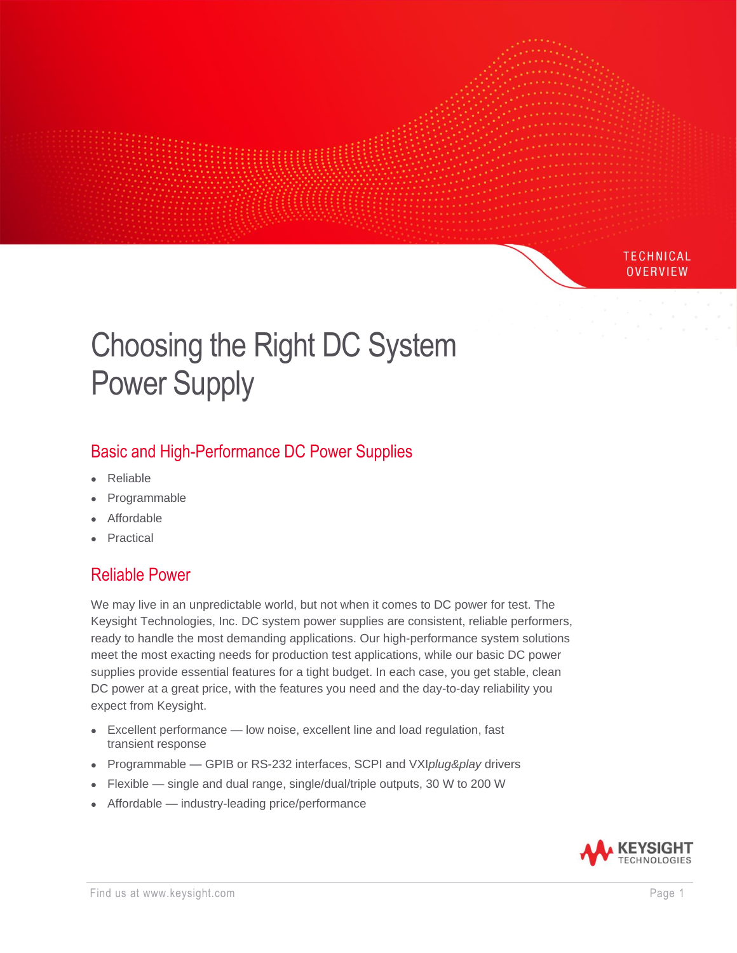# Choosing the Right DC System Power Supply

# Basic and High-Performance DC Power Supplies

- Reliable
- **Programmable**
- **Affordable**
- **Practical**

### Reliable Power

We may live in an unpredictable world, but not when it comes to DC power for test. The Keysight Technologies, Inc. DC system power supplies are consistent, reliable performers, ready to handle the most demanding applications. Our high-performance system solutions meet the most exacting needs for production test applications, while our basic DC power supplies provide essential features for a tight budget. In each case, you get stable, clean DC power at a great price, with the features you need and the day-to-day reliability you expect from Keysight.

- Excellent performance low noise, excellent line and load regulation, fast transient response
- Programmable GPIB or RS-232 interfaces, SCPI and VXI*plug&play* drivers
- Flexible single and dual range, single/dual/triple outputs, 30 W to 200 W
- Affordable industry-leading price/performance



**TECHNICAL OVERVIEW**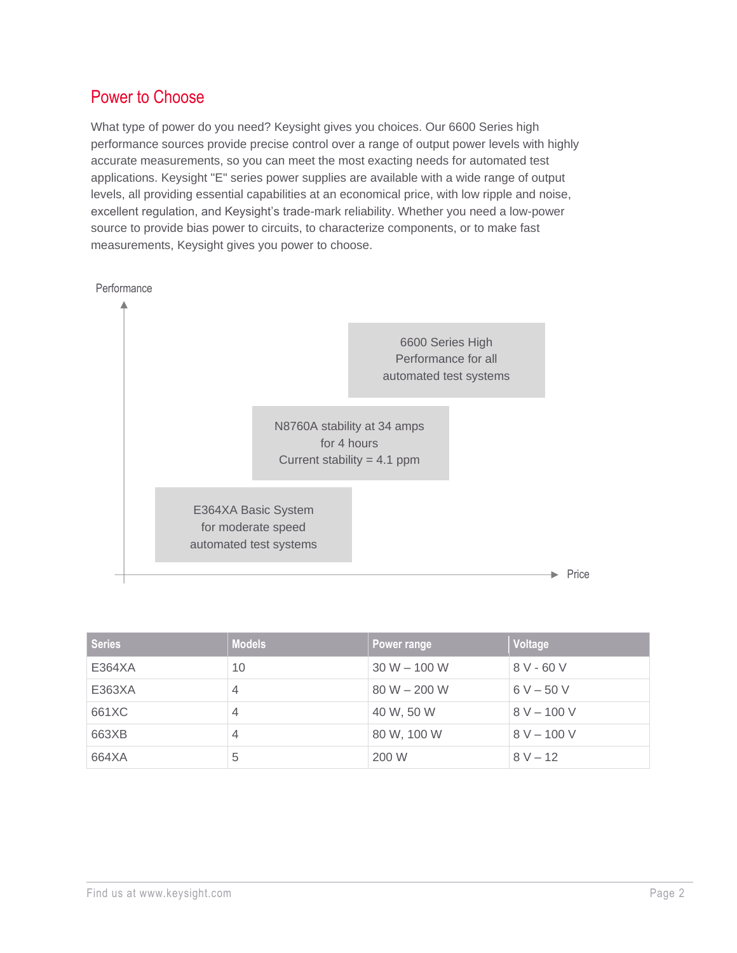## Power to Choose

What type of power do you need? Keysight gives you choices. Our 6600 Series high performance sources provide precise control over a range of output power levels with highly accurate measurements, so you can meet the most exacting needs for automated test applications. Keysight "E" series power supplies are available with a wide range of output levels, all providing essential capabilities at an economical price, with low ripple and noise, excellent regulation, and Keysight's trade-mark reliability. Whether you need a low-power source to provide bias power to circuits, to characterize components, or to make fast measurements, Keysight gives you power to choose.



| <b>Series</b> | <b>Models</b> | Power range    | Voltage       |
|---------------|---------------|----------------|---------------|
| E364XA        | 10            | $30 W - 100 W$ | $8V - 60V$    |
| E363XA        | 4             | $80 W - 200 W$ | $6 V - 50 V$  |
| 661XC         | 4             | 40 W, 50 W     | $8 V - 100 V$ |
| 663XB         | 4             | 80 W, 100 W    | $8 V - 100 V$ |
| 664XA         | 5             | 200 W          | $8 V - 12$    |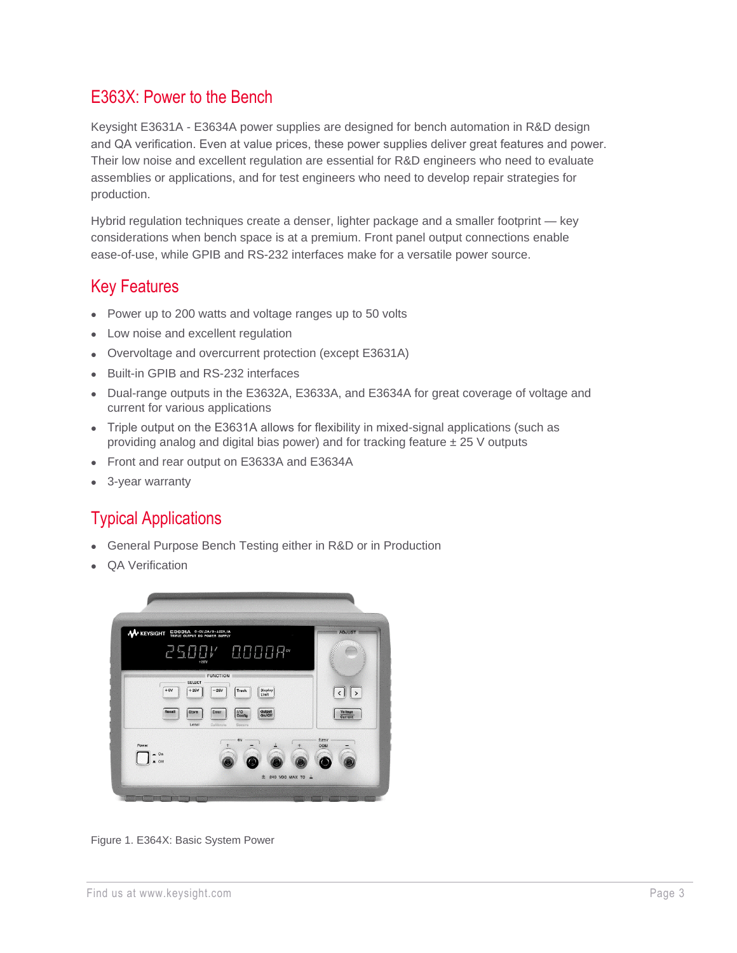### E363X: Power to the Bench

Keysight E3631A - E3634A power supplies are designed for bench automation in R&D design and QA verification. Even at value prices, these power supplies deliver great features and power. Their low noise and excellent regulation are essential for R&D engineers who need to evaluate assemblies or applications, and for test engineers who need to develop repair strategies for production.

Hybrid regulation techniques create a denser, lighter package and a smaller footprint — key considerations when bench space is at a premium. Front panel output connections enable ease-of-use, while GPIB and RS-232 interfaces make for a versatile power source.

#### Key Features

- Power up to 200 watts and voltage ranges up to 50 volts
- Low noise and excellent regulation
- Overvoltage and overcurrent protection (except E3631A)
- Built-in GPIB and RS-232 interfaces
- Dual-range outputs in the E3632A, E3633A, and E3634A for great coverage of voltage and current for various applications
- Triple output on the E3631A allows for flexibility in mixed-signal applications (such as providing analog and digital bias power) and for tracking feature  $\pm 25$  V outputs
- Front and rear output on E3633A and E3634A
- 3-year warranty

### Typical Applications

- General Purpose Bench Testing either in R&D or in Production
- QA Verification



Figure 1. E364X: Basic System Power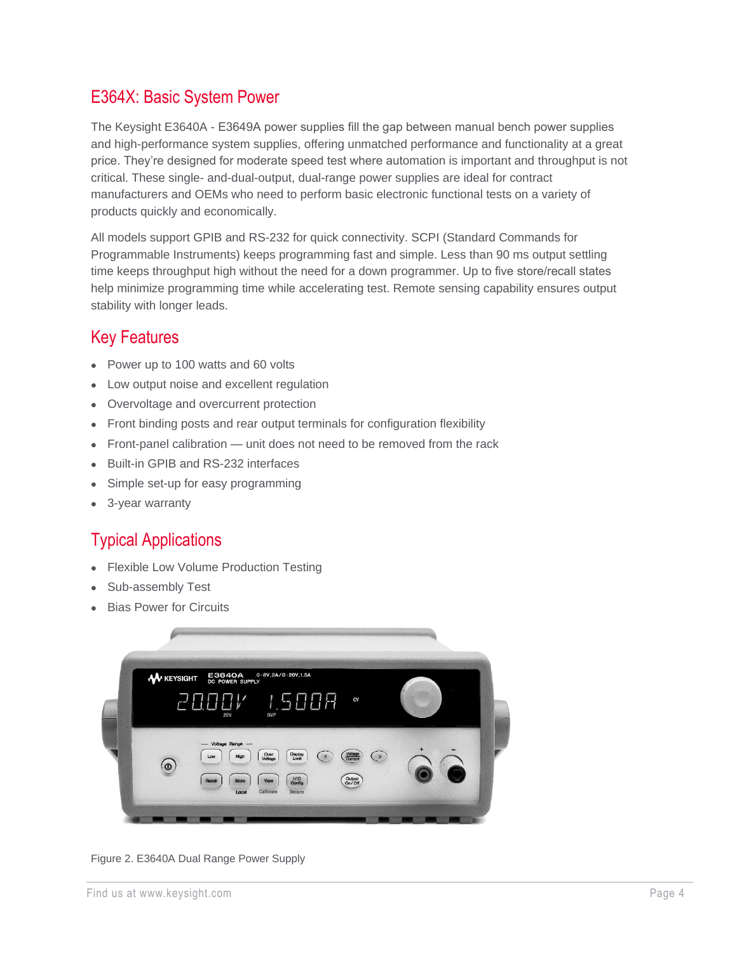## E364X: Basic System Power

The Keysight E3640A - E3649A power supplies fill the gap between manual bench power supplies and high-performance system supplies, offering unmatched performance and functionality at a great price. They're designed for moderate speed test where automation is important and throughput is not critical. These single- and-dual-output, dual-range power supplies are ideal for contract manufacturers and OEMs who need to perform basic electronic functional tests on a variety of products quickly and economically.

All models support GPIB and RS-232 for quick connectivity. SCPI (Standard Commands for Programmable Instruments) keeps programming fast and simple. Less than 90 ms output settling time keeps throughput high without the need for a down programmer. Up to five store/recall states help minimize programming time while accelerating test. Remote sensing capability ensures output stability with longer leads.

# Key Features

- Power up to 100 watts and 60 volts
- Low output noise and excellent regulation
- Overvoltage and overcurrent protection
- Front binding posts and rear output terminals for configuration flexibility
- Front-panel calibration unit does not need to be removed from the rack
- Built-in GPIB and RS-232 interfaces
- Simple set-up for easy programming
- 3-year warranty

# Typical Applications

- Flexible Low Volume Production Testing
- Sub-assembly Test
- **Bias Power for Circuits**



Figure 2. E3640A Dual Range Power Supply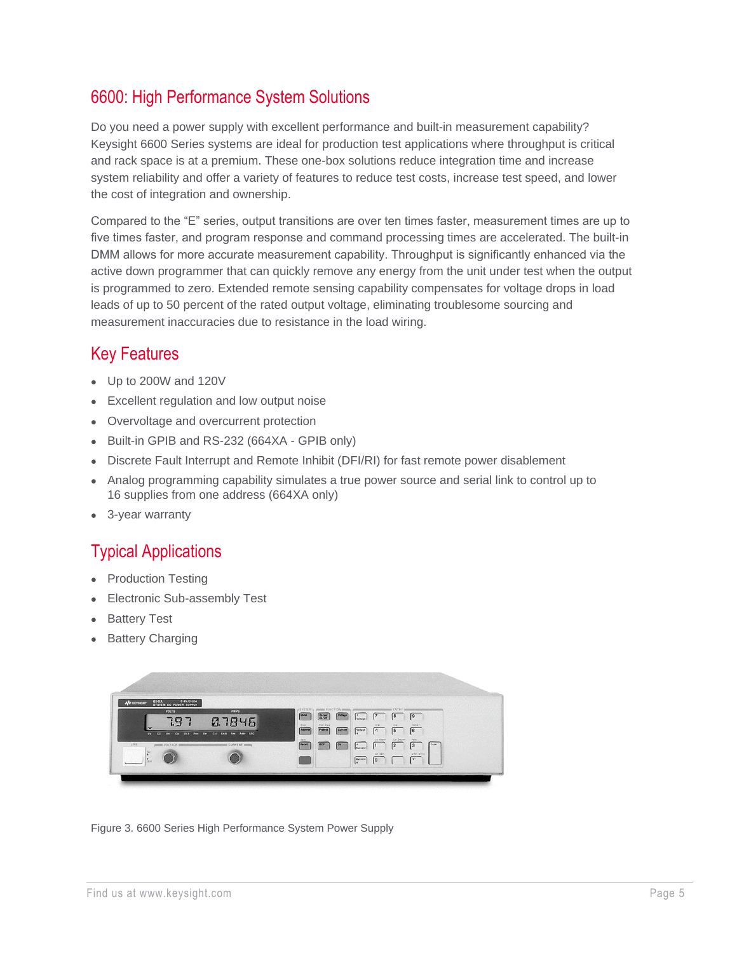## 6600: High Performance System Solutions

Do you need a power supply with excellent performance and built-in measurement capability? Keysight 6600 Series systems are ideal for production test applications where throughput is critical and rack space is at a premium. These one-box solutions reduce integration time and increase system reliability and offer a variety of features to reduce test costs, increase test speed, and lower the cost of integration and ownership.

Compared to the "E" series, output transitions are over ten times faster, measurement times are up to five times faster, and program response and command processing times are accelerated. The built-in DMM allows for more accurate measurement capability. Throughput is significantly enhanced via the active down programmer that can quickly remove any energy from the unit under test when the output is programmed to zero. Extended remote sensing capability compensates for voltage drops in load leads of up to 50 percent of the rated output voltage, eliminating troublesome sourcing and measurement inaccuracies due to resistance in the load wiring.

### Key Features

- Up to 200W and 120V
- Excellent regulation and low output noise
- Overvoltage and overcurrent protection
- Built-in GPIB and RS-232 (664XA GPIB only)
- Discrete Fault Interrupt and Remote Inhibit (DFI/RI) for fast remote power disablement
- Analog programming capability simulates a true power source and serial link to control up to 16 supplies from one address (664XA only)
- 3-year warranty

## Typical Applications

- Production Testing
- **Electronic Sub-assembly Test**
- **Battery Test**
- **Battery Charging**



Figure 3. 6600 Series High Performance System Power Supply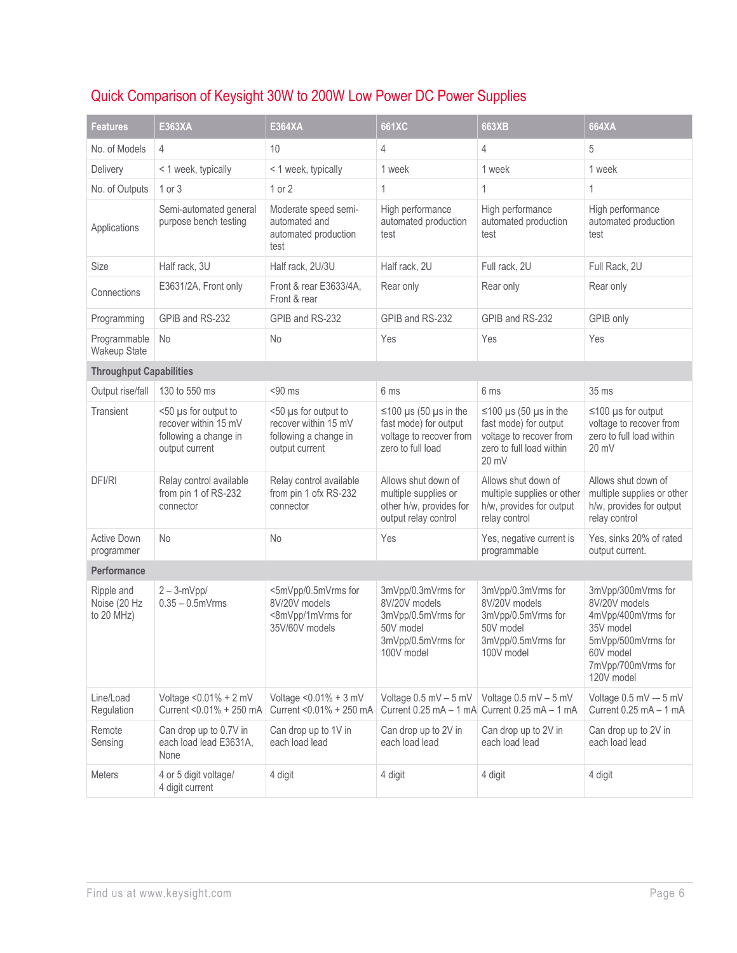# Quick Comparison of Keysight 30W to 200W Low Power DC Power Supplies

| <b>Features</b>                          | E363XA                                                                                  | E364XA                                                                                  | 661XC                                                                                                      | 663XB                                                                                                                | 664XA                                                                                                                                         |  |
|------------------------------------------|-----------------------------------------------------------------------------------------|-----------------------------------------------------------------------------------------|------------------------------------------------------------------------------------------------------------|----------------------------------------------------------------------------------------------------------------------|-----------------------------------------------------------------------------------------------------------------------------------------------|--|
| No. of Models                            | $\overline{4}$                                                                          | 10                                                                                      | 4                                                                                                          | 4                                                                                                                    | 5                                                                                                                                             |  |
| Delivery                                 | < 1 week, typically                                                                     | < 1 week, typically                                                                     | 1 week                                                                                                     | 1 week                                                                                                               | 1 week                                                                                                                                        |  |
| No. of Outputs                           | 1 or 3                                                                                  | $1$ or $2$                                                                              | 1                                                                                                          | $\mathbf{1}$                                                                                                         | $\mathbf{1}$                                                                                                                                  |  |
| Applications                             | Semi-automated general<br>purpose bench testing                                         | Moderate speed semi-<br>automated and<br>automated production<br>test                   | High performance<br>automated production<br>test                                                           | High performance<br>automated production<br>test                                                                     | High performance<br>automated production<br>test                                                                                              |  |
| Size                                     | Half rack, 3U                                                                           | Half rack, 2U/3U                                                                        | Half rack, 2U                                                                                              | Full rack, 2U                                                                                                        | Full Rack, 2U                                                                                                                                 |  |
| Connections                              | E3631/2A, Front only                                                                    | Front & rear E3633/4A,<br>Front & rear                                                  | Rear only                                                                                                  | Rear only                                                                                                            | Rear only                                                                                                                                     |  |
| Programming                              | GPIB and RS-232                                                                         | GPIB and RS-232                                                                         | GPIB and RS-232                                                                                            | GPIB and RS-232                                                                                                      | GPIB only                                                                                                                                     |  |
| Programmable<br>Wakeup State             | No                                                                                      | <b>No</b>                                                                               | Yes                                                                                                        | Yes                                                                                                                  | Yes                                                                                                                                           |  |
| <b>Throughput Capabilities</b>           |                                                                                         |                                                                                         |                                                                                                            |                                                                                                                      |                                                                                                                                               |  |
| Output rise/fall                         | 130 to 550 ms                                                                           | $< 90$ ms                                                                               | 6 ms                                                                                                       | 6 ms                                                                                                                 | 35 ms                                                                                                                                         |  |
| Transient                                | <50 µs for output to<br>recover within 15 mV<br>following a change in<br>output current | <50 µs for output to<br>recover within 15 mV<br>following a change in<br>output current | $\leq$ 100 µs (50 µs in the<br>fast mode) for output<br>voltage to recover from<br>zero to full load       | $\leq$ 100 µs (50 µs in the<br>fast mode) for output<br>voltage to recover from<br>zero to full load within<br>20 mV | $\leq$ 100 µs for output<br>voltage to recover from<br>zero to full load within<br>$20 \text{ mV}$                                            |  |
| DFI/RI                                   | Relay control available<br>from pin 1 of RS-232<br>connector                            | Relay control available<br>from pin 1 ofx RS-232<br>connector                           | Allows shut down of<br>multiple supplies or<br>other h/w, provides for<br>output relay control             | Allows shut down of<br>multiple supplies or other<br>h/w, provides for output<br>relay control                       | Allows shut down of<br>multiple supplies or other<br>h/w, provides for output<br>relay control                                                |  |
| <b>Active Down</b><br>programmer         | <b>No</b>                                                                               | No                                                                                      | Yes                                                                                                        | Yes, negative current is<br>programmable                                                                             | Yes, sinks 20% of rated<br>output current.                                                                                                    |  |
| Performance                              |                                                                                         |                                                                                         |                                                                                                            |                                                                                                                      |                                                                                                                                               |  |
| Ripple and<br>Noise (20 Hz<br>to 20 MHz) | $2 - 3-mVpp/$<br>$0.35 - 0.5$ m $V$ rms                                                 | <5mVpp/0.5mVrms for<br>8V/20V models<br><8mVpp/1mVrms for<br>35V/60V models             | 3mVpp/0.3mVrms for<br>8V/20V models<br>3mVpp/0.5mVrms for<br>50V model<br>3mVpp/0.5mVrms for<br>100V model | 3mVpp/0.3mVrms for<br>8V/20V models<br>3mVpp/0.5mVrms for<br>50V model<br>3mVpp/0.5mVrms for<br>100V model           | 3mVpp/300mVrms for<br>8V/20V models<br>4mVpp/400mVrms for<br>35V model<br>5mVpp/500mVrms for<br>60V model<br>7mVpp/700mVrms for<br>120V model |  |
| Line/Load<br>Regulation                  | Voltage < 0.01% + 2 mV<br>Current < 0.01% + 250 mA                                      | Voltage < 0.01% + 3 mV<br>Current <0.01% + 250 mA                                       | Voltage 0.5 mV - 5 mV<br>Current $0.25 \text{ mA} - 1 \text{ mA}$                                          | Voltage $0.5$ mV $-5$ mV<br>Current 0.25 mA - 1 mA                                                                   | Voltage 0.5 mV -- 5 mV<br>Current $0.25$ mA $-1$ mA                                                                                           |  |
| Remote<br>Sensing                        | Can drop up to 0.7V in<br>each load lead E3631A,<br>None                                | Can drop up to 1V in<br>each load lead                                                  | Can drop up to 2V in<br>each load lead                                                                     | Can drop up to 2V in<br>each load lead                                                                               | Can drop up to 2V in<br>each load lead                                                                                                        |  |
| <b>Meters</b>                            | 4 or 5 digit voltage/<br>4 digit current                                                | 4 digit                                                                                 | 4 digit                                                                                                    | 4 digit                                                                                                              | 4 digit                                                                                                                                       |  |